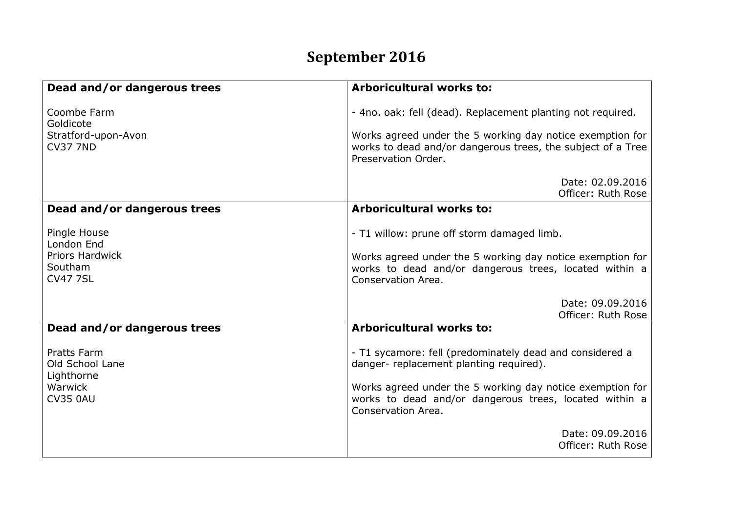## **September 2016**

| Dead and/or dangerous trees                                                | <b>Arboricultural works to:</b>                                                                                                                                                                                            |
|----------------------------------------------------------------------------|----------------------------------------------------------------------------------------------------------------------------------------------------------------------------------------------------------------------------|
| Coombe Farm<br>Goldicote                                                   | - 4no. oak: fell (dead). Replacement planting not required.                                                                                                                                                                |
| Stratford-upon-Avon<br><b>CV37 7ND</b>                                     | Works agreed under the 5 working day notice exemption for<br>works to dead and/or dangerous trees, the subject of a Tree<br>Preservation Order.                                                                            |
|                                                                            | Date: 02.09.2016<br>Officer: Ruth Rose                                                                                                                                                                                     |
| Dead and/or dangerous trees                                                | <b>Arboricultural works to:</b>                                                                                                                                                                                            |
| Pingle House<br>London End                                                 | - T1 willow: prune off storm damaged limb.                                                                                                                                                                                 |
| <b>Priors Hardwick</b><br>Southam<br><b>CV47 7SL</b>                       | Works agreed under the 5 working day notice exemption for<br>works to dead and/or dangerous trees, located within a<br>Conservation Area.                                                                                  |
|                                                                            | Date: 09.09.2016                                                                                                                                                                                                           |
| Dead and/or dangerous trees                                                | Officer: Ruth Rose<br><b>Arboricultural works to:</b>                                                                                                                                                                      |
| Pratts Farm<br>Old School Lane<br>Lighthorne<br>Warwick<br><b>CV35 0AU</b> | - T1 sycamore: fell (predominately dead and considered a<br>danger- replacement planting required).<br>Works agreed under the 5 working day notice exemption for<br>works to dead and/or dangerous trees, located within a |
|                                                                            | Conservation Area.                                                                                                                                                                                                         |
|                                                                            | Date: 09.09.2016<br>Officer: Ruth Rose                                                                                                                                                                                     |